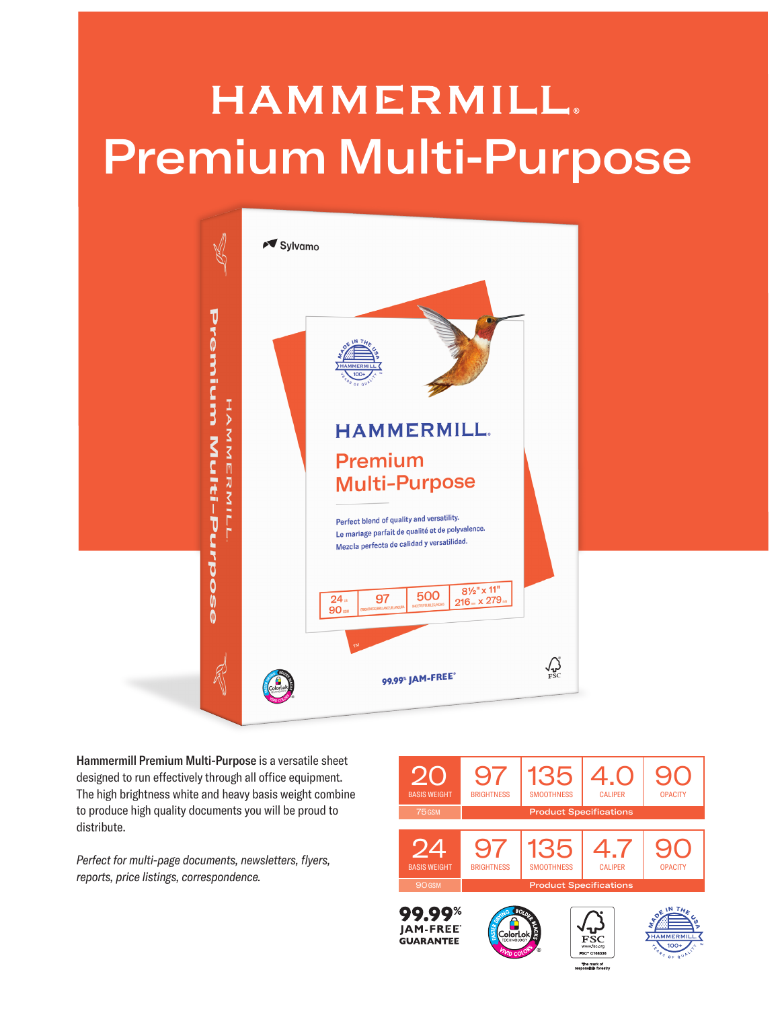## **HAMMERMILL.** Premium Multi-Purpose



Hammermill Premium Multi-Purpose is a versatile sheet designed to run effectively through all office equipment. The high brightness white and heavy basis weight combine to produce high quality documents you will be proud to distribute.

*Perfect for multi-page documents, newsletters, flyers, reports, price listings, correspondence.*